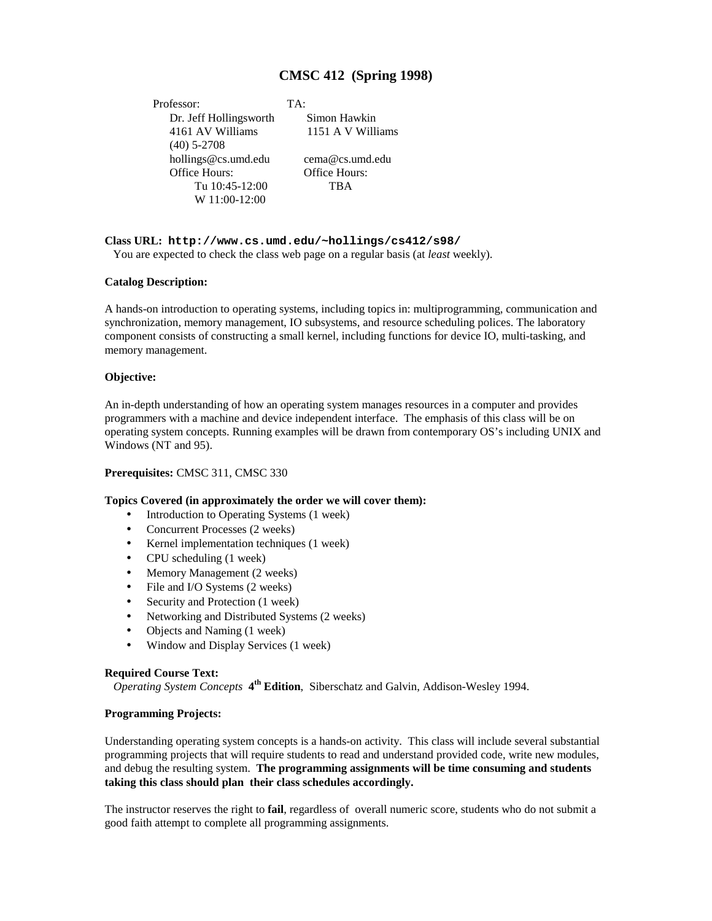# **CMSC 412 (Spring 1998)**

Professor: TA: Dr. Jeff Hollingsworth Simon Hawkin 4161 AV Williams 1151 A V Williams (40) 5-2708 hollings@cs.umd.edu cema@cs.umd.edu Office Hours: Office Hours: Tu 10:45-12:00 TBA W 11:00-12:00

## **Class URL: http://www.cs.umd.edu/~hollings/cs412/s98/**

You are expected to check the class web page on a regular basis (at *least* weekly).

#### **Catalog Description:**

A hands-on introduction to operating systems, including topics in: multiprogramming, communication and synchronization, memory management, IO subsystems, and resource scheduling polices. The laboratory component consists of constructing a small kernel, including functions for device IO, multi-tasking, and memory management.

## **Objective:**

An in-depth understanding of how an operating system manages resources in a computer and provides programmers with a machine and device independent interface. The emphasis of this class will be on operating system concepts. Running examples will be drawn from contemporary OS's including UNIX and Windows (NT and 95).

#### **Prerequisites:** CMSC 311, CMSC 330

#### **Topics Covered (in approximately the order we will cover them):**

- Introduction to Operating Systems (1 week)
- Concurrent Processes (2 weeks)
- Kernel implementation techniques (1 week)
- CPU scheduling (1 week)
- Memory Management (2 weeks)
- File and I/O Systems (2 weeks)
- Security and Protection (1 week)
- Networking and Distributed Systems (2 weeks)
- Objects and Naming (1 week)
- Window and Display Services (1 week)

#### **Required Course Text:**

*Operating System Concepts* **4th Edition**, Siberschatz and Galvin, Addison-Wesley 1994.

#### **Programming Projects:**

Understanding operating system concepts is a hands-on activity. This class will include several substantial programming projects that will require students to read and understand provided code, write new modules, and debug the resulting system. **The programming assignments will be time consuming and students taking this class should plan their class schedules accordingly.**

The instructor reserves the right to **fail**, regardless of overall numeric score, students who do not submit a good faith attempt to complete all programming assignments.